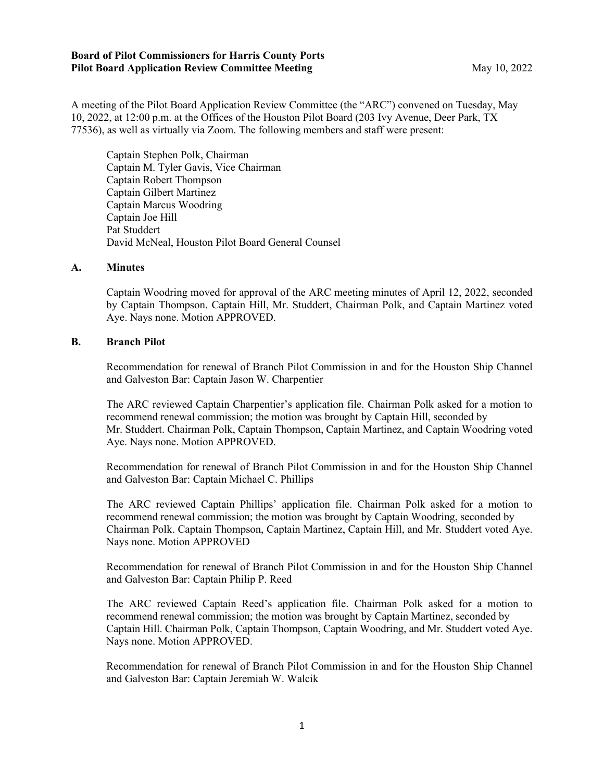#### **Board of Pilot Commissioners for Harris County Ports Pilot Board Application Review Committee Meeting May 10, 2022**

A meeting of the Pilot Board Application Review Committee (the "ARC") convened on Tuesday, May 10, 2022, at 12:00 p.m. at the Offices of the Houston Pilot Board (203 Ivy Avenue, Deer Park, TX 77536), as well as virtually via Zoom. The following members and staff were present:

Captain Stephen Polk, Chairman Captain M. Tyler Gavis, Vice Chairman Captain Robert Thompson Captain Gilbert Martinez Captain Marcus Woodring Captain Joe Hill Pat Studdert David McNeal, Houston Pilot Board General Counsel

### **A. Minutes**

Captain Woodring moved for approval of the ARC meeting minutes of April 12, 2022, seconded by Captain Thompson. Captain Hill, Mr. Studdert, Chairman Polk, and Captain Martinez voted Aye. Nays none. Motion APPROVED.

## **B. Branch Pilot**

Recommendation for renewal of Branch Pilot Commission in and for the Houston Ship Channel and Galveston Bar: Captain Jason W. Charpentier

The ARC reviewed Captain Charpentier's application file. Chairman Polk asked for a motion to recommend renewal commission; the motion was brought by Captain Hill, seconded by Mr. Studdert. Chairman Polk, Captain Thompson, Captain Martinez, and Captain Woodring voted Aye. Nays none. Motion APPROVED.

Recommendation for renewal of Branch Pilot Commission in and for the Houston Ship Channel and Galveston Bar: Captain Michael C. Phillips

The ARC reviewed Captain Phillips' application file. Chairman Polk asked for a motion to recommend renewal commission; the motion was brought by Captain Woodring, seconded by Chairman Polk. Captain Thompson, Captain Martinez, Captain Hill, and Mr. Studdert voted Aye. Nays none. Motion APPROVED

Recommendation for renewal of Branch Pilot Commission in and for the Houston Ship Channel and Galveston Bar: Captain Philip P. Reed

The ARC reviewed Captain Reed's application file. Chairman Polk asked for a motion to recommend renewal commission; the motion was brought by Captain Martinez, seconded by Captain Hill. Chairman Polk, Captain Thompson, Captain Woodring, and Mr. Studdert voted Aye. Nays none. Motion APPROVED.

Recommendation for renewal of Branch Pilot Commission in and for the Houston Ship Channel and Galveston Bar: Captain Jeremiah W. Walcik